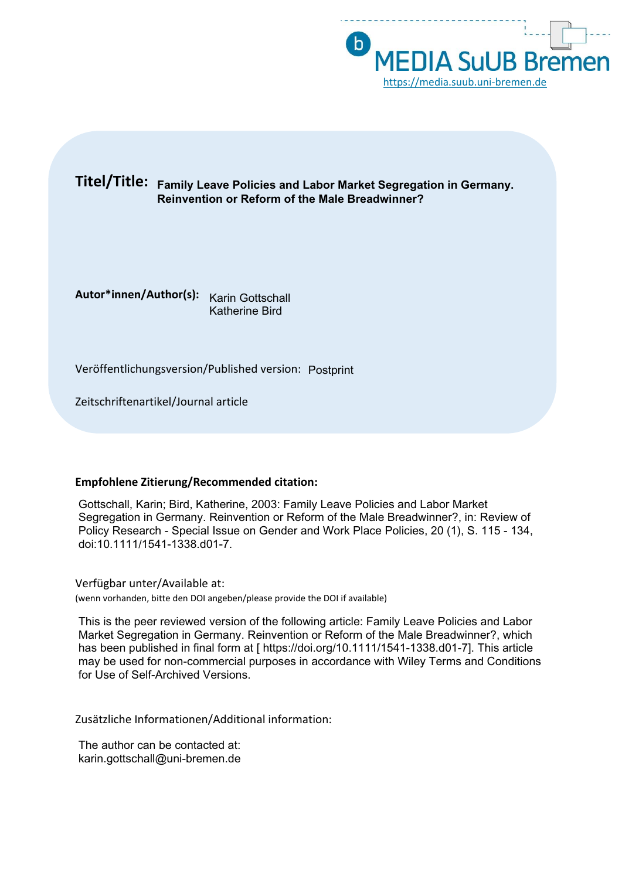

# **Titel/Title: Family Leave Policies and Labor Market Segregation in Germany. Reinvention or Reform of the Male Breadwinner?**

**Autor\*innen/Author(s):** Karin Gottschall

Katherine Bird

Veröffentlichungsversion/Published version: Postprint

Zeitschriftenartikel/Journal article

#### **Empfohlene Zitierung/Recommended citation:**

Gottschall, Karin; Bird, Katherine, 2003: Family Leave Policies and Labor Market Segregation in Germany. Reinvention or Reform of the Male Breadwinner?, in: Review of Policy Research - Special Issue on Gender and Work Place Policies, 20 (1), S. 115 - 134, doi:10.1111/1541-1338.d01-7.

Verfügbar unter/Available at: (wenn vorhanden, bitte den DOI angeben/please provide the DOI if available)

This is the peer reviewed version of the following article: Family Leave Policies and Labor Market Segregation in Germany. Reinvention or Reform of the Male Breadwinner?, which has been published in final form at [ https://doi.org/10.1111/1541-1338.d01-7]. This article may be used for non-commercial purposes in accordance with Wiley Terms and Conditions for Use of Self-Archived Versions.

Zusätzliche Informationen/Additional information:

The author can be contacted at: karin.gottschall@uni-bremen.de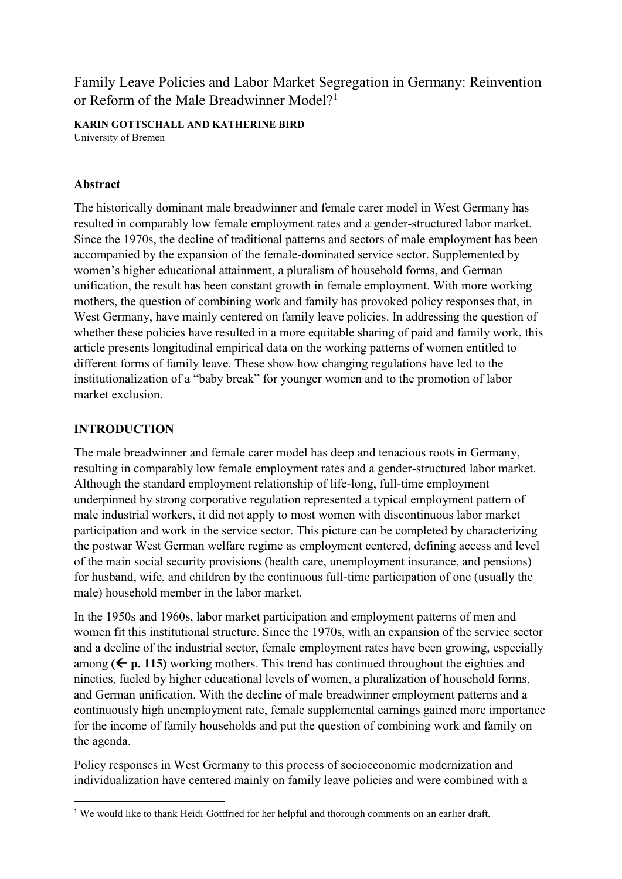Family Leave Policies and Labor Market Segregation in Germany: Reinvention or Reform of the Male Breadwinner Model?<sup>1</sup>

**KARIN GOTTSCHALL AND KATHERINE BIRD** University of Bremen

### **Abstract**

The historically dominant male breadwinner and female carer model in West Germany has resulted in comparably low female employment rates and a gender-structured labor market. Since the 1970s, the decline of traditional patterns and sectors of male employment has been accompanied by the expansion of the female-dominated service sector. Supplemented by women's higher educational attainment, a pluralism of household forms, and German unification, the result has been constant growth in female employment. With more working mothers, the question of combining work and family has provoked policy responses that, in West Germany, have mainly centered on family leave policies. In addressing the question of whether these policies have resulted in a more equitable sharing of paid and family work, this article presents longitudinal empirical data on the working patterns of women entitled to different forms of family leave. These show how changing regulations have led to the institutionalization of a "baby break" for younger women and to the promotion of labor market exclusion.

#### **INTRODUCTION**

**.** 

The male breadwinner and female carer model has deep and tenacious roots in Germany, resulting in comparably low female employment rates and a gender-structured labor market. Although the standard employment relationship of life-long, full-time employment underpinned by strong corporative regulation represented a typical employment pattern of male industrial workers, it did not apply to most women with discontinuous labor market participation and work in the service sector. This picture can be completed by characterizing the postwar West German welfare regime as employment centered, defining access and level of the main social security provisions (health care, unemployment insurance, and pensions) for husband, wife, and children by the continuous full-time participation of one (usually the male) household member in the labor market.

In the 1950s and 1960s, labor market participation and employment patterns of men and women fit this institutional structure. Since the 1970s, with an expansion of the service sector and a decline of the industrial sector, female employment rates have been growing, especially among  $(\Leftarrow p. 115)$  working mothers. This trend has continued throughout the eighties and nineties, fueled by higher educational levels of women, a pluralization of household forms, and German unification. With the decline of male breadwinner employment patterns and a continuously high unemployment rate, female supplemental earnings gained more importance for the income of family households and put the question of combining work and family on the agenda.

Policy responses in West Germany to this process of socioeconomic modernization and individualization have centered mainly on family leave policies and were combined with a

<sup>&</sup>lt;sup>1</sup> We would like to thank Heidi Gottfried for her helpful and thorough comments on an earlier draft.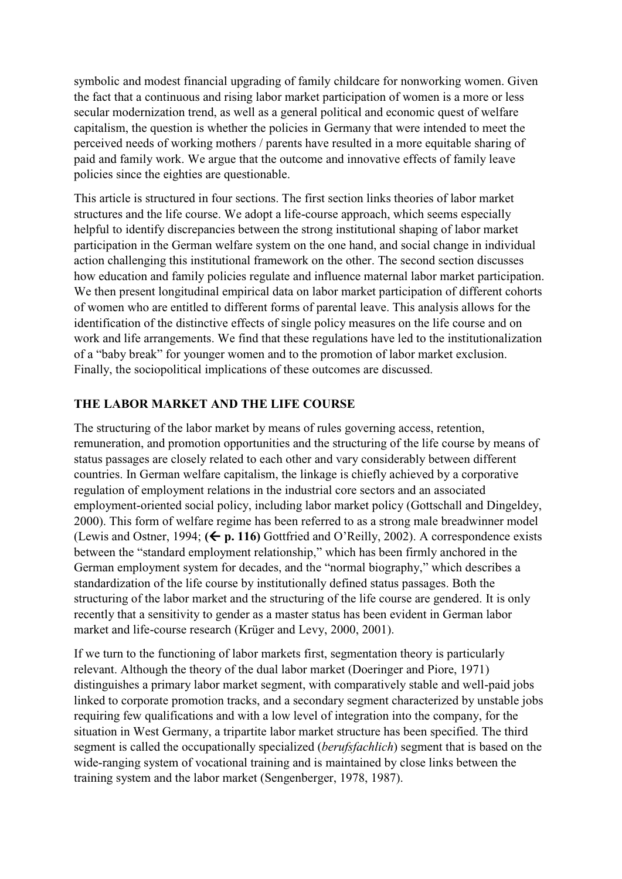symbolic and modest financial upgrading of family childcare for nonworking women. Given the fact that a continuous and rising labor market participation of women is a more or less secular modernization trend, as well as a general political and economic quest of welfare capitalism, the question is whether the policies in Germany that were intended to meet the perceived needs of working mothers / parents have resulted in a more equitable sharing of paid and family work. We argue that the outcome and innovative effects of family leave policies since the eighties are questionable.

This article is structured in four sections. The first section links theories of labor market structures and the life course. We adopt a life-course approach, which seems especially helpful to identify discrepancies between the strong institutional shaping of labor market participation in the German welfare system on the one hand, and social change in individual action challenging this institutional framework on the other. The second section discusses how education and family policies regulate and influence maternal labor market participation. We then present longitudinal empirical data on labor market participation of different cohorts of women who are entitled to different forms of parental leave. This analysis allows for the identification of the distinctive effects of single policy measures on the life course and on work and life arrangements. We find that these regulations have led to the institutionalization of a "baby break" for younger women and to the promotion of labor market exclusion. Finally, the sociopolitical implications of these outcomes are discussed.

## **THE LABOR MARKET AND THE LIFE COURSE**

The structuring of the labor market by means of rules governing access, retention, remuneration, and promotion opportunities and the structuring of the life course by means of status passages are closely related to each other and vary considerably between different countries. In German welfare capitalism, the linkage is chiefly achieved by a corporative regulation of employment relations in the industrial core sectors and an associated employment-oriented social policy, including labor market policy (Gottschall and Dingeldey, 2000). This form of welfare regime has been referred to as a strong male breadwinner model (Lewis and Ostner, 1994;  $(\Leftarrow p. 116)$  Gottfried and O'Reilly, 2002). A correspondence exists between the "standard employment relationship," which has been firmly anchored in the German employment system for decades, and the "normal biography," which describes a standardization of the life course by institutionally defined status passages. Both the structuring of the labor market and the structuring of the life course are gendered. It is only recently that a sensitivity to gender as a master status has been evident in German labor market and life-course research (Krüger and Levy, 2000, 2001).

If we turn to the functioning of labor markets first, segmentation theory is particularly relevant. Although the theory of the dual labor market (Doeringer and Piore, 1971) distinguishes a primary labor market segment, with comparatively stable and well-paid jobs linked to corporate promotion tracks, and a secondary segment characterized by unstable jobs requiring few qualifications and with a low level of integration into the company, for the situation in West Germany, a tripartite labor market structure has been specified. The third segment is called the occupationally specialized (*berufsfachlich*) segment that is based on the wide-ranging system of vocational training and is maintained by close links between the training system and the labor market (Sengenberger, 1978, 1987).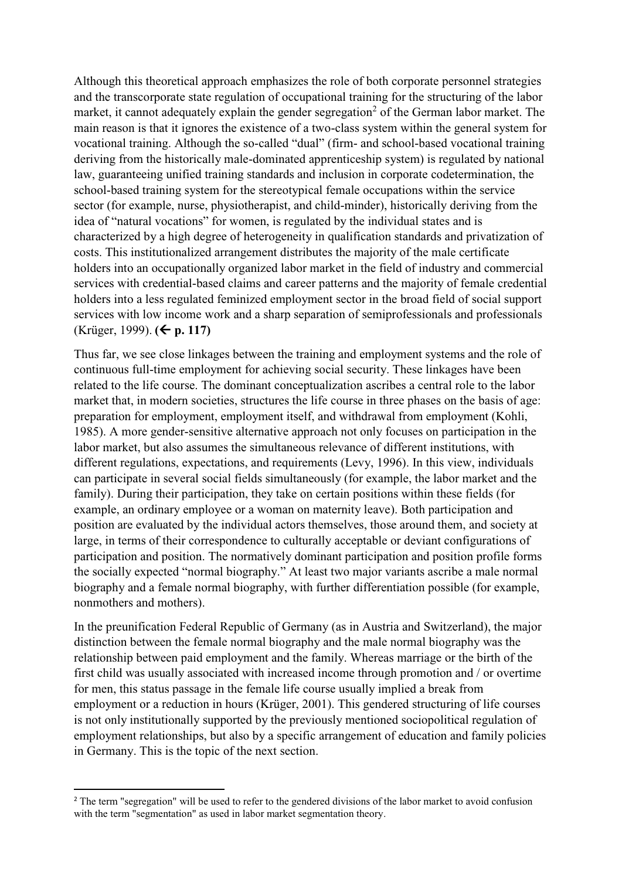Although this theoretical approach emphasizes the role of both corporate personnel strategies and the transcorporate state regulation of occupational training for the structuring of the labor market, it cannot adequately explain the gender segregation<sup>2</sup> of the German labor market. The main reason is that it ignores the existence of a two-class system within the general system for vocational training. Although the so-called "dual" (firm- and school-based vocational training deriving from the historically male-dominated apprenticeship system) is regulated by national law, guaranteeing unified training standards and inclusion in corporate codetermination, the school-based training system for the stereotypical female occupations within the service sector (for example, nurse, physiotherapist, and child-minder), historically deriving from the idea of "natural vocations" for women, is regulated by the individual states and is characterized by a high degree of heterogeneity in qualification standards and privatization of costs. This institutionalized arrangement distributes the majority of the male certificate holders into an occupationally organized labor market in the field of industry and commercial services with credential-based claims and career patterns and the majority of female credential holders into a less regulated feminized employment sector in the broad field of social support services with low income work and a sharp separation of semiprofessionals and professionals (Krüger, 1999). **( p. 117)**

Thus far, we see close linkages between the training and employment systems and the role of continuous full-time employment for achieving social security. These linkages have been related to the life course. The dominant conceptualization ascribes a central role to the labor market that, in modern societies, structures the life course in three phases on the basis of age: preparation for employment, employment itself, and withdrawal from employment (Kohli, 1985). A more gender-sensitive alternative approach not only focuses on participation in the labor market, but also assumes the simultaneous relevance of different institutions, with different regulations, expectations, and requirements (Levy, 1996). In this view, individuals can participate in several social fields simultaneously (for example, the labor market and the family). During their participation, they take on certain positions within these fields (for example, an ordinary employee or a woman on maternity leave). Both participation and position are evaluated by the individual actors themselves, those around them, and society at large, in terms of their correspondence to culturally acceptable or deviant configurations of participation and position. The normatively dominant participation and position profile forms the socially expected "normal biography." At least two major variants ascribe a male normal biography and a female normal biography, with further differentiation possible (for example, nonmothers and mothers).

In the preunification Federal Republic of Germany (as in Austria and Switzerland), the major distinction between the female normal biography and the male normal biography was the relationship between paid employment and the family. Whereas marriage or the birth of the first child was usually associated with increased income through promotion and / or overtime for men, this status passage in the female life course usually implied a break from employment or a reduction in hours (Krüger, 2001). This gendered structuring of life courses is not only institutionally supported by the previously mentioned sociopolitical regulation of employment relationships, but also by a specific arrangement of education and family policies in Germany. This is the topic of the next section.

**.** 

<sup>&</sup>lt;sup>2</sup> The term "segregation" will be used to refer to the gendered divisions of the labor market to avoid confusion with the term "segmentation" as used in labor market segmentation theory.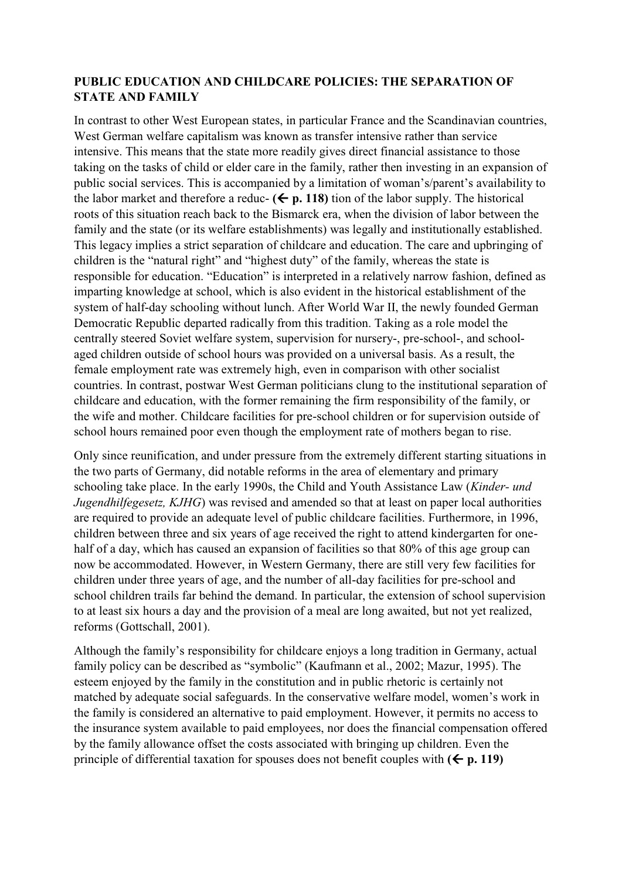### **PUBLIC EDUCATION AND CHILDCARE POLICIES: THE SEPARATION OF STATE AND FAMILY**

In contrast to other West European states, in particular France and the Scandinavian countries, West German welfare capitalism was known as transfer intensive rather than service intensive. This means that the state more readily gives direct financial assistance to those taking on the tasks of child or elder care in the family, rather then investing in an expansion of public social services. This is accompanied by a limitation of woman's/parent's availability to the labor market and therefore a reduc-  $(\Leftarrow p. 118)$  tion of the labor supply. The historical roots of this situation reach back to the Bismarck era, when the division of labor between the family and the state (or its welfare establishments) was legally and institutionally established. This legacy implies a strict separation of childcare and education. The care and upbringing of children is the "natural right" and "highest duty" of the family, whereas the state is responsible for education. "Education" is interpreted in a relatively narrow fashion, defined as imparting knowledge at school, which is also evident in the historical establishment of the system of half-day schooling without lunch. After World War II, the newly founded German Democratic Republic departed radically from this tradition. Taking as a role model the centrally steered Soviet welfare system, supervision for nursery-, pre-school-, and schoolaged children outside of school hours was provided on a universal basis. As a result, the female employment rate was extremely high, even in comparison with other socialist countries. In contrast, postwar West German politicians clung to the institutional separation of childcare and education, with the former remaining the firm responsibility of the family, or the wife and mother. Childcare facilities for pre-school children or for supervision outside of school hours remained poor even though the employment rate of mothers began to rise.

Only since reunification, and under pressure from the extremely different starting situations in the two parts of Germany, did notable reforms in the area of elementary and primary schooling take place. In the early 1990s, the Child and Youth Assistance Law (*Kinder- und Jugendhilfegesetz, KJHG*) was revised and amended so that at least on paper local authorities are required to provide an adequate level of public childcare facilities. Furthermore, in 1996, children between three and six years of age received the right to attend kindergarten for onehalf of a day, which has caused an expansion of facilities so that 80% of this age group can now be accommodated. However, in Western Germany, there are still very few facilities for children under three years of age, and the number of all-day facilities for pre-school and school children trails far behind the demand. In particular, the extension of school supervision to at least six hours a day and the provision of a meal are long awaited, but not yet realized, reforms (Gottschall, 2001).

Although the family's responsibility for childcare enjoys a long tradition in Germany, actual family policy can be described as "symbolic" (Kaufmann et al., 2002; Mazur, 1995). The esteem enjoyed by the family in the constitution and in public rhetoric is certainly not matched by adequate social safeguards. In the conservative welfare model, women's work in the family is considered an alternative to paid employment. However, it permits no access to the insurance system available to paid employees, nor does the financial compensation offered by the family allowance offset the costs associated with bringing up children. Even the principle of differential taxation for spouses does not benefit couples with  $(\leq p. 119)$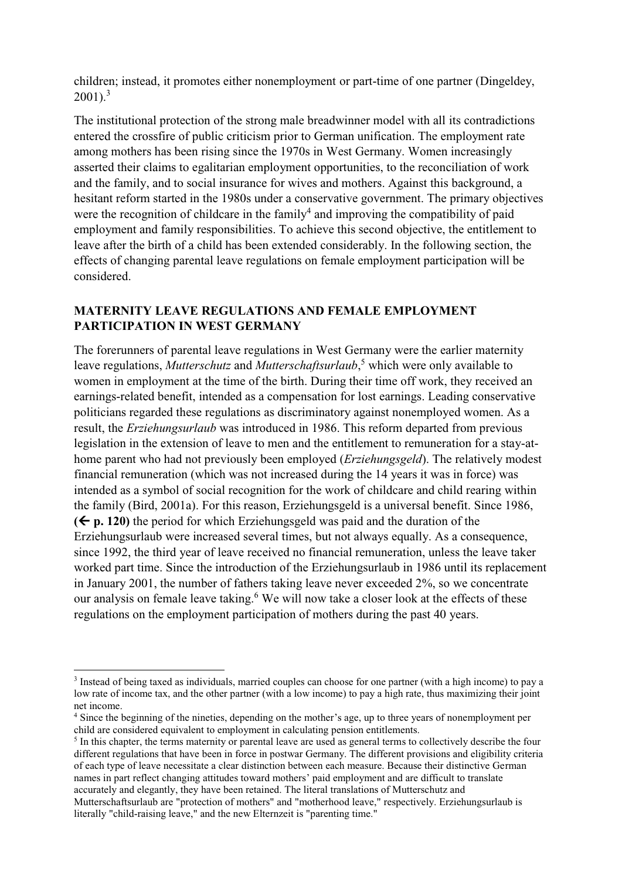children; instead, it promotes either nonemployment or part-time of one partner (Dingeldey,  $2001$ ).<sup>3</sup>

The institutional protection of the strong male breadwinner model with all its contradictions entered the crossfire of public criticism prior to German unification. The employment rate among mothers has been rising since the 1970s in West Germany. Women increasingly asserted their claims to egalitarian employment opportunities, to the reconciliation of work and the family, and to social insurance for wives and mothers. Against this background, a hesitant reform started in the 1980s under a conservative government. The primary objectives were the recognition of childcare in the family<sup>4</sup> and improving the compatibility of paid employment and family responsibilities. To achieve this second objective, the entitlement to leave after the birth of a child has been extended considerably. In the following section, the effects of changing parental leave regulations on female employment participation will be considered.

## **MATERNITY LEAVE REGULATIONS AND FEMALE EMPLOYMENT PARTICIPATION IN WEST GERMANY**

The forerunners of parental leave regulations in West Germany were the earlier maternity leave regulations, *Mutterschutz* and *Mutterschaftsurlaub*, <sup>5</sup> which were only available to women in employment at the time of the birth. During their time off work, they received an earnings-related benefit, intended as a compensation for lost earnings. Leading conservative politicians regarded these regulations as discriminatory against nonemployed women. As a result, the *Erziehungsurlaub* was introduced in 1986. This reform departed from previous legislation in the extension of leave to men and the entitlement to remuneration for a stay-athome parent who had not previously been employed (*Erziehungsgeld*). The relatively modest financial remuneration (which was not increased during the 14 years it was in force) was intended as a symbol of social recognition for the work of childcare and child rearing within the family (Bird, 2001a). For this reason, Erziehungsgeld is a universal benefit. Since 1986,  $(\epsilon)$  **p. 120**) the period for which Erziehungsgeld was paid and the duration of the Erziehungsurlaub were increased several times, but not always equally. As a consequence, since 1992, the third year of leave received no financial remuneration, unless the leave taker worked part time. Since the introduction of the Erziehungsurlaub in 1986 until its replacement in January 2001, the number of fathers taking leave never exceeded 2%, so we concentrate our analysis on female leave taking.<sup>6</sup> We will now take a closer look at the effects of these regulations on the employment participation of mothers during the past 40 years.

1

<sup>&</sup>lt;sup>3</sup> Instead of being taxed as individuals, married couples can choose for one partner (with a high income) to pay a low rate of income tax, and the other partner (with a low income) to pay a high rate, thus maximizing their joint net income.

<sup>4</sup> Since the beginning of the nineties, depending on the mother's age, up to three years of nonemployment per child are considered equivalent to employment in calculating pension entitlements.

<sup>&</sup>lt;sup>5</sup> In this chapter, the terms maternity or parental leave are used as general terms to collectively describe the four different regulations that have been in force in postwar Germany. The different provisions and eligibility criteria of each type of leave necessitate a clear distinction between each measure. Because their distinctive German names in part reflect changing attitudes toward mothers' paid employment and are difficult to translate accurately and elegantly, they have been retained. The literal translations of Mutterschutz and Mutterschaftsurlaub are "protection of mothers" and "motherhood leave," respectively. Erziehungsurlaub is

literally "child-raising leave," and the new Elternzeit is "parenting time."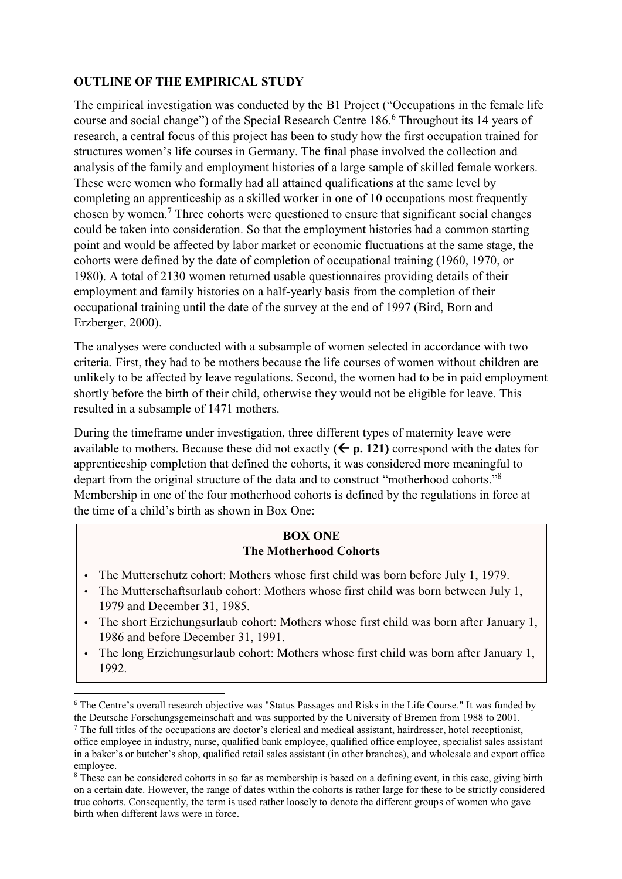## **OUTLINE OF THE EMPIRICAL STUDY**

The empirical investigation was conducted by the B1 Project ("Occupations in the female life course and social change") of the Special Research Centre 186.<sup>6</sup> Throughout its 14 years of research, a central focus of this project has been to study how the first occupation trained for structures women's life courses in Germany. The final phase involved the collection and analysis of the family and employment histories of a large sample of skilled female workers. These were women who formally had all attained qualifications at the same level by completing an apprenticeship as a skilled worker in one of 10 occupations most frequently chosen by women.<sup>7</sup> Three cohorts were questioned to ensure that significant social changes could be taken into consideration. So that the employment histories had a common starting point and would be affected by labor market or economic fluctuations at the same stage, the cohorts were defined by the date of completion of occupational training (1960, 1970, or 1980). A total of 2130 women returned usable questionnaires providing details of their employment and family histories on a half-yearly basis from the completion of their occupational training until the date of the survey at the end of 1997 (Bird, Born and Erzberger, 2000).

The analyses were conducted with a subsample of women selected in accordance with two criteria. First, they had to be mothers because the life courses of women without children are unlikely to be affected by leave regulations. Second, the women had to be in paid employment shortly before the birth of their child, otherwise they would not be eligible for leave. This resulted in a subsample of 1471 mothers.

During the timeframe under investigation, three different types of maternity leave were available to mothers. Because these did not exactly  $(\Leftarrow p. 121)$  correspond with the dates for apprenticeship completion that defined the cohorts, it was considered more meaningful to depart from the original structure of the data and to construct "motherhood cohorts."<sup>8</sup> Membership in one of the four motherhood cohorts is defined by the regulations in force at the time of a child's birth as shown in Box One:

## **BOX ONE The Motherhood Cohorts**

- The Mutterschutz cohort: Mothers whose first child was born before July 1, 1979.
- The Mutterschaftsurlaub cohort: Mothers whose first child was born between July 1, 1979 and December 31, 1985.
- The short Erziehungsurlaub cohort: Mothers whose first child was born after January 1, 1986 and before December 31, 1991.
- The long Erziehungsurlaub cohort: Mothers whose first child was born after January 1, 1992.

 $\overline{\phantom{a}}$ 

<sup>6</sup> The Centre's overall research objective was "Status Passages and Risks in the Life Course." It was funded by the Deutsche Forschungsgemeinschaft and was supported by the University of Bremen from 1988 to 2001.

 $^7$  The full titles of the occupations are doctor's clerical and medical assistant, hairdresser, hotel receptionist, office employee in industry, nurse, qualified bank employee, qualified office employee, specialist sales assistant in a baker's or butcher's shop, qualified retail sales assistant (in other branches), and wholesale and export office employee.

<sup>&</sup>lt;sup>8</sup> These can be considered cohorts in so far as membership is based on a defining event, in this case, giving birth on a certain date. However, the range of dates within the cohorts is rather large for these to be strictly considered true cohorts. Consequently, the term is used rather loosely to denote the different groups of women who gave birth when different laws were in force.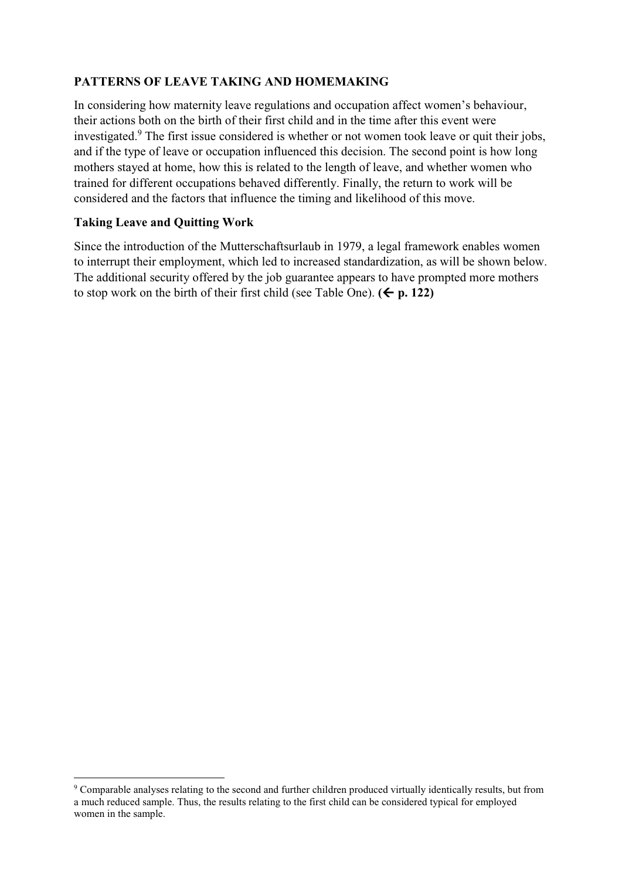## **PATTERNS OF LEAVE TAKING AND HOMEMAKING**

In considering how maternity leave regulations and occupation affect women's behaviour, their actions both on the birth of their first child and in the time after this event were investigated.<sup>9</sup> The first issue considered is whether or not women took leave or quit their jobs, and if the type of leave or occupation influenced this decision. The second point is how long mothers stayed at home, how this is related to the length of leave, and whether women who trained for different occupations behaved differently. Finally, the return to work will be considered and the factors that influence the timing and likelihood of this move.

### **Taking Leave and Quitting Work**

1

Since the introduction of the Mutterschaftsurlaub in 1979, a legal framework enables women to interrupt their employment, which led to increased standardization, as will be shown below. The additional security offered by the job guarantee appears to have prompted more mothers to stop work on the birth of their first child (see Table One).  $(\leq p. 122)$ 

<sup>&</sup>lt;sup>9</sup> Comparable analyses relating to the second and further children produced virtually identically results, but from a much reduced sample. Thus, the results relating to the first child can be considered typical for employed women in the sample.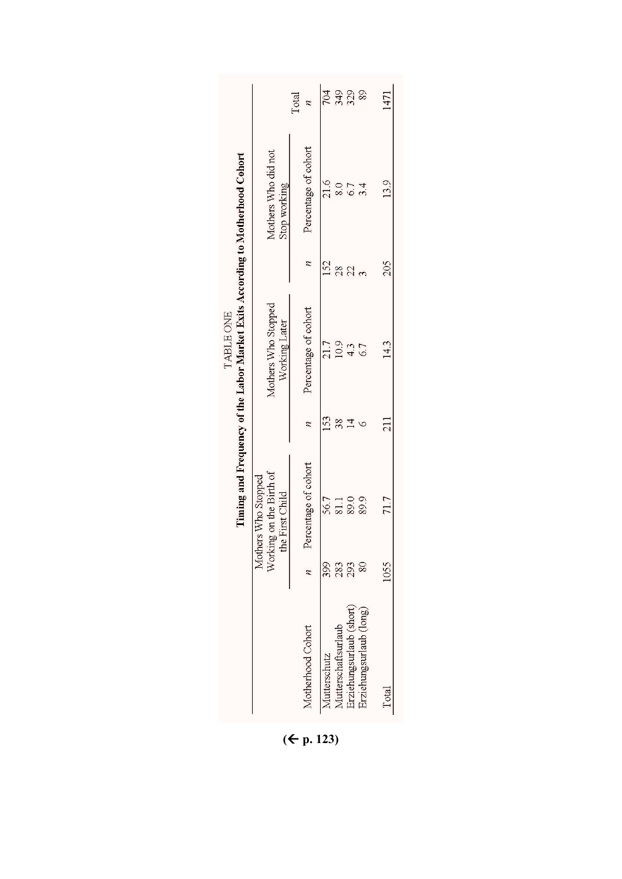|                          |      |                                                |     | Timing and Frequency of the Labor Market Exits According to Motherhood Cohort |     |                      |            |
|--------------------------|------|------------------------------------------------|-----|-------------------------------------------------------------------------------|-----|----------------------|------------|
|                          |      | Working on the Birth of<br>Mothers Who Stopped |     | Mothers Who Stopped                                                           |     | Mothers Who did not  |            |
|                          |      | the First Child                                |     | Working Later                                                                 |     | Stop working         | Total      |
| Motherhood Cohort        |      | Percentage of cohort                           |     | Percentage of cohort                                                          |     | Percentage of cohort |            |
| <b>Mutterschutz</b>      | 399  | 56.7                                           | 153 | 21.7                                                                          | 152 | 21.6                 | 704        |
| Mutterschaftsurlaub      | 283  | 89.0                                           | 38  |                                                                               | 28  | 8.0<br>6.7           | 329<br>329 |
| drziehungsurlaub (short) |      |                                                |     | $\frac{10.9}{4.3}$                                                            | 22  |                      |            |
| irziehungsurlaub (long)  |      | 89.9                                           |     |                                                                               |     | 3.4                  |            |
| Total                    | 1055 | 71.7                                           | 211 | 14.3                                                                          | 205 | 13.9                 | 1471       |

TABLE ONE  $\overline{1}$ 

**( p. 123)**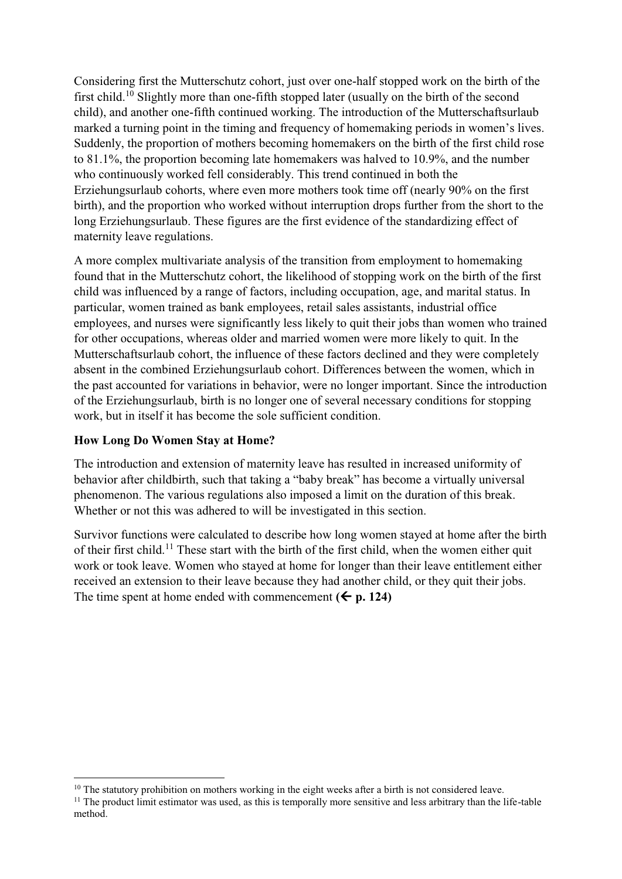Considering first the Mutterschutz cohort, just over one-half stopped work on the birth of the first child.<sup>10</sup> Slightly more than one-fifth stopped later (usually on the birth of the second child), and another one-fifth continued working. The introduction of the Mutterschaftsurlaub marked a turning point in the timing and frequency of homemaking periods in women's lives. Suddenly, the proportion of mothers becoming homemakers on the birth of the first child rose to 81.1%, the proportion becoming late homemakers was halved to 10.9%, and the number who continuously worked fell considerably. This trend continued in both the Erziehungsurlaub cohorts, where even more mothers took time off (nearly 90% on the first birth), and the proportion who worked without interruption drops further from the short to the long Erziehungsurlaub. These figures are the first evidence of the standardizing effect of maternity leave regulations.

A more complex multivariate analysis of the transition from employment to homemaking found that in the Mutterschutz cohort, the likelihood of stopping work on the birth of the first child was influenced by a range of factors, including occupation, age, and marital status. In particular, women trained as bank employees, retail sales assistants, industrial office employees, and nurses were significantly less likely to quit their jobs than women who trained for other occupations, whereas older and married women were more likely to quit. In the Mutterschaftsurlaub cohort, the influence of these factors declined and they were completely absent in the combined Erziehungsurlaub cohort. Differences between the women, which in the past accounted for variations in behavior, were no longer important. Since the introduction of the Erziehungsurlaub, birth is no longer one of several necessary conditions for stopping work, but in itself it has become the sole sufficient condition.

#### **How Long Do Women Stay at Home?**

1

The introduction and extension of maternity leave has resulted in increased uniformity of behavior after childbirth, such that taking a "baby break" has become a virtually universal phenomenon. The various regulations also imposed a limit on the duration of this break. Whether or not this was adhered to will be investigated in this section.

Survivor functions were calculated to describe how long women stayed at home after the birth of their first child.<sup>11</sup> These start with the birth of the first child, when the women either quit work or took leave. Women who stayed at home for longer than their leave entitlement either received an extension to their leave because they had another child, or they quit their jobs. The time spent at home ended with commencement  $($   $\leftarrow$  **p. 124** $)$ 

<sup>&</sup>lt;sup>10</sup> The statutory prohibition on mothers working in the eight weeks after a birth is not considered leave.

<sup>&</sup>lt;sup>11</sup> The product limit estimator was used, as this is temporally more sensitive and less arbitrary than the life-table method.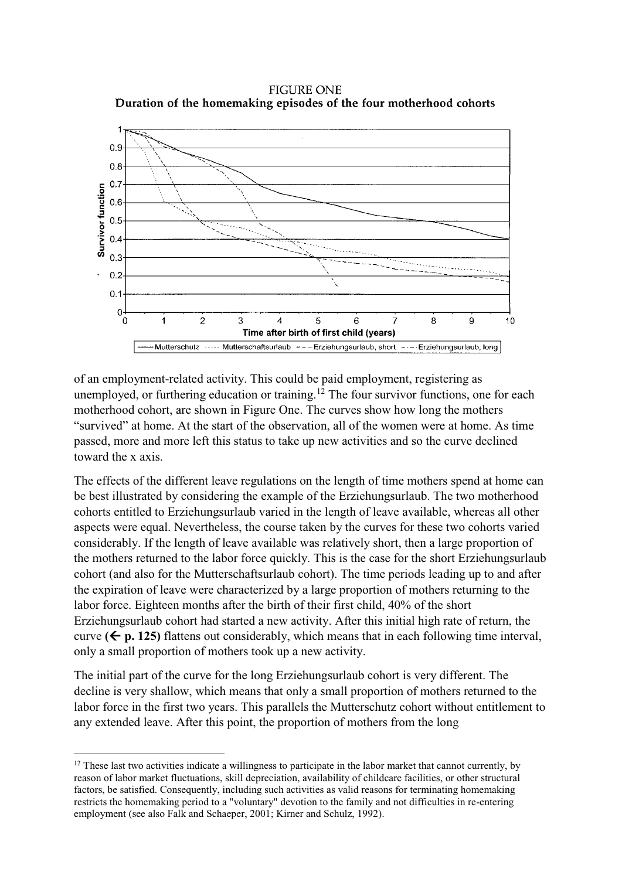**FIGURE ONE** Duration of the homemaking episodes of the four motherhood cohorts



of an employment-related activity. This could be paid employment, registering as unemployed, or furthering education or training.<sup>12</sup> The four survivor functions, one for each motherhood cohort, are shown in Figure One. The curves show how long the mothers "survived" at home. At the start of the observation, all of the women were at home. As time passed, more and more left this status to take up new activities and so the curve declined toward the x axis.

The effects of the different leave regulations on the length of time mothers spend at home can be best illustrated by considering the example of the Erziehungsurlaub. The two motherhood cohorts entitled to Erziehungsurlaub varied in the length of leave available, whereas all other aspects were equal. Nevertheless, the course taken by the curves for these two cohorts varied considerably. If the length of leave available was relatively short, then a large proportion of the mothers returned to the labor force quickly. This is the case for the short Erziehungsurlaub cohort (and also for the Mutterschaftsurlaub cohort). The time periods leading up to and after the expiration of leave were characterized by a large proportion of mothers returning to the labor force. Eighteen months after the birth of their first child, 40% of the short Erziehungsurlaub cohort had started a new activity. After this initial high rate of return, the curve  $(\Leftarrow p. 125)$  flattens out considerably, which means that in each following time interval, only a small proportion of mothers took up a new activity.

The initial part of the curve for the long Erziehungsurlaub cohort is very different. The decline is very shallow, which means that only a small proportion of mothers returned to the labor force in the first two years. This parallels the Mutterschutz cohort without entitlement to any extended leave. After this point, the proportion of mothers from the long

**.** 

<sup>&</sup>lt;sup>12</sup> These last two activities indicate a willingness to participate in the labor market that cannot currently, by reason of labor market fluctuations, skill depreciation, availability of childcare facilities, or other structural factors, be satisfied. Consequently, including such activities as valid reasons for terminating homemaking restricts the homemaking period to a "voluntary" devotion to the family and not difficulties in re-entering employment (see also Falk and Schaeper, 2001; Kirner and Schulz, 1992).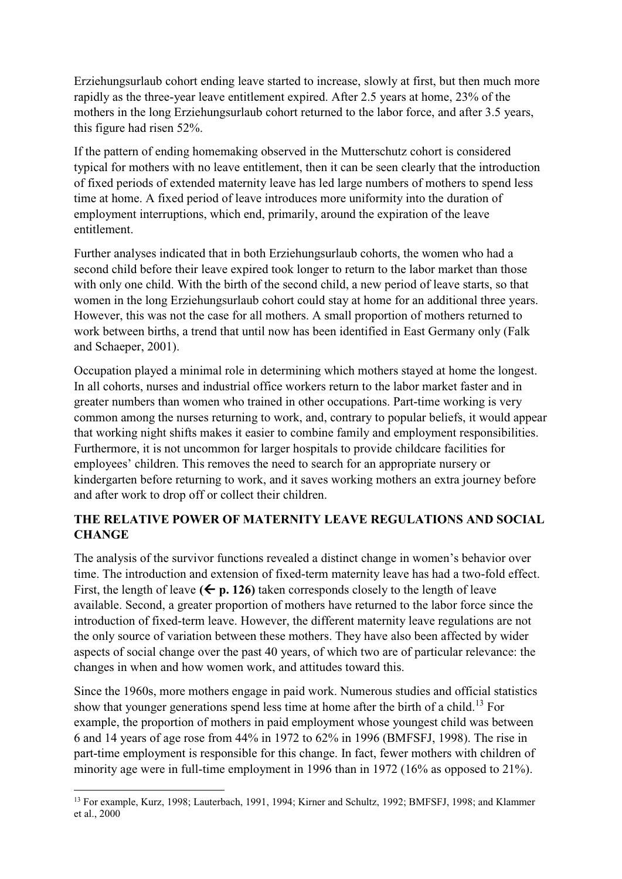Erziehungsurlaub cohort ending leave started to increase, slowly at first, but then much more rapidly as the three-year leave entitlement expired. After 2.5 years at home, 23% of the mothers in the long Erziehungsurlaub cohort returned to the labor force, and after 3.5 years, this figure had risen 52%.

If the pattern of ending homemaking observed in the Mutterschutz cohort is considered typical for mothers with no leave entitlement, then it can be seen clearly that the introduction of fixed periods of extended maternity leave has led large numbers of mothers to spend less time at home. A fixed period of leave introduces more uniformity into the duration of employment interruptions, which end, primarily, around the expiration of the leave entitlement.

Further analyses indicated that in both Erziehungsurlaub cohorts, the women who had a second child before their leave expired took longer to return to the labor market than those with only one child. With the birth of the second child, a new period of leave starts, so that women in the long Erziehungsurlaub cohort could stay at home for an additional three years. However, this was not the case for all mothers. A small proportion of mothers returned to work between births, a trend that until now has been identified in East Germany only (Falk and Schaeper, 2001).

Occupation played a minimal role in determining which mothers stayed at home the longest. In all cohorts, nurses and industrial office workers return to the labor market faster and in greater numbers than women who trained in other occupations. Part-time working is very common among the nurses returning to work, and, contrary to popular beliefs, it would appear that working night shifts makes it easier to combine family and employment responsibilities. Furthermore, it is not uncommon for larger hospitals to provide childcare facilities for employees' children. This removes the need to search for an appropriate nursery or kindergarten before returning to work, and it saves working mothers an extra journey before and after work to drop off or collect their children.

## **THE RELATIVE POWER OF MATERNITY LEAVE REGULATIONS AND SOCIAL CHANGE**

The analysis of the survivor functions revealed a distinct change in women's behavior over time. The introduction and extension of fixed-term maternity leave has had a two-fold effect. First, the length of leave ( $\leftarrow$  p. 126) taken corresponds closely to the length of leave available. Second, a greater proportion of mothers have returned to the labor force since the introduction of fixed-term leave. However, the different maternity leave regulations are not the only source of variation between these mothers. They have also been affected by wider aspects of social change over the past 40 years, of which two are of particular relevance: the changes in when and how women work, and attitudes toward this.

Since the 1960s, more mothers engage in paid work. Numerous studies and official statistics show that younger generations spend less time at home after the birth of a child.<sup>13</sup> For example, the proportion of mothers in paid employment whose youngest child was between 6 and 14 years of age rose from 44% in 1972 to 62% in 1996 (BMFSFJ, 1998). The rise in part-time employment is responsible for this change. In fact, fewer mothers with children of minority age were in full-time employment in 1996 than in 1972 (16% as opposed to 21%).

**<sup>.</sup>** <sup>13</sup> For example, Kurz, 1998; Lauterbach, 1991, 1994; Kirner and Schultz, 1992; BMFSFJ, 1998; and Klammer et al., 2000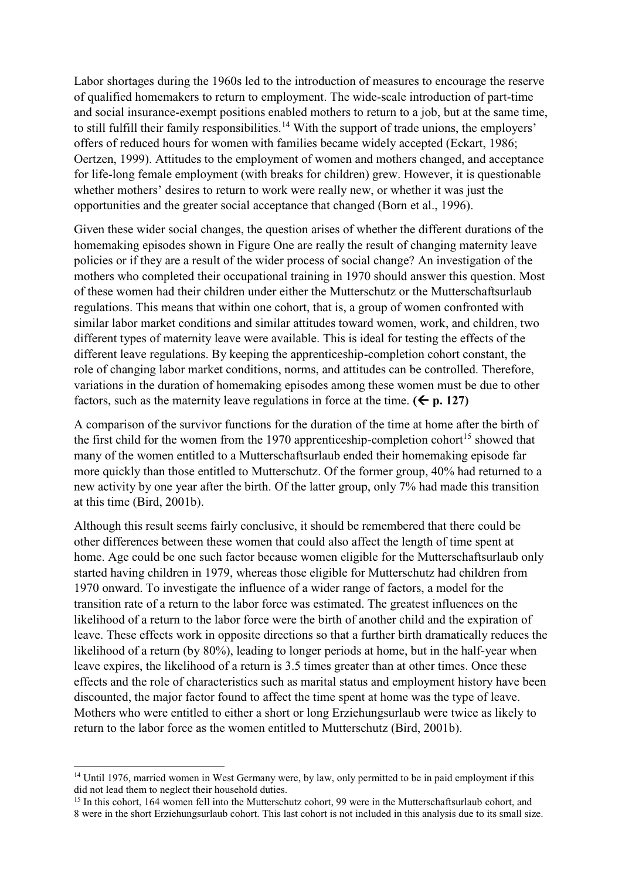Labor shortages during the 1960s led to the introduction of measures to encourage the reserve of qualified homemakers to return to employment. The wide-scale introduction of part-time and social insurance-exempt positions enabled mothers to return to a job, but at the same time, to still fulfill their family responsibilities.<sup>14</sup> With the support of trade unions, the employers' offers of reduced hours for women with families became widely accepted (Eckart, 1986; Oertzen, 1999). Attitudes to the employment of women and mothers changed, and acceptance for life-long female employment (with breaks for children) grew. However, it is questionable whether mothers' desires to return to work were really new, or whether it was just the opportunities and the greater social acceptance that changed (Born et al., 1996).

Given these wider social changes, the question arises of whether the different durations of the homemaking episodes shown in Figure One are really the result of changing maternity leave policies or if they are a result of the wider process of social change? An investigation of the mothers who completed their occupational training in 1970 should answer this question. Most of these women had their children under either the Mutterschutz or the Mutterschaftsurlaub regulations. This means that within one cohort, that is, a group of women confronted with similar labor market conditions and similar attitudes toward women, work, and children, two different types of maternity leave were available. This is ideal for testing the effects of the different leave regulations. By keeping the apprenticeship-completion cohort constant, the role of changing labor market conditions, norms, and attitudes can be controlled. Therefore, variations in the duration of homemaking episodes among these women must be due to other factors, such as the maternity leave regulations in force at the time.  $(\Leftarrow p. 127)$ 

A comparison of the survivor functions for the duration of the time at home after the birth of the first child for the women from the 1970 apprenticeship-completion cohort<sup>15</sup> showed that many of the women entitled to a Mutterschaftsurlaub ended their homemaking episode far more quickly than those entitled to Mutterschutz. Of the former group, 40% had returned to a new activity by one year after the birth. Of the latter group, only 7% had made this transition at this time (Bird, 2001b).

Although this result seems fairly conclusive, it should be remembered that there could be other differences between these women that could also affect the length of time spent at home. Age could be one such factor because women eligible for the Mutterschaftsurlaub only started having children in 1979, whereas those eligible for Mutterschutz had children from 1970 onward. To investigate the influence of a wider range of factors, a model for the transition rate of a return to the labor force was estimated. The greatest influences on the likelihood of a return to the labor force were the birth of another child and the expiration of leave. These effects work in opposite directions so that a further birth dramatically reduces the likelihood of a return (by 80%), leading to longer periods at home, but in the half-year when leave expires, the likelihood of a return is 3.5 times greater than at other times. Once these effects and the role of characteristics such as marital status and employment history have been discounted, the major factor found to affect the time spent at home was the type of leave. Mothers who were entitled to either a short or long Erziehungsurlaub were twice as likely to return to the labor force as the women entitled to Mutterschutz (Bird, 2001b).

 $\overline{a}$ 

<sup>&</sup>lt;sup>14</sup> Until 1976, married women in West Germany were, by law, only permitted to be in paid employment if this did not lead them to neglect their household duties.

<sup>&</sup>lt;sup>15</sup> In this cohort, 164 women fell into the Mutterschutz cohort, 99 were in the Mutterschaftsurlaub cohort, and 8 were in the short Erziehungsurlaub cohort. This last cohort is not included in this analysis due to its small size.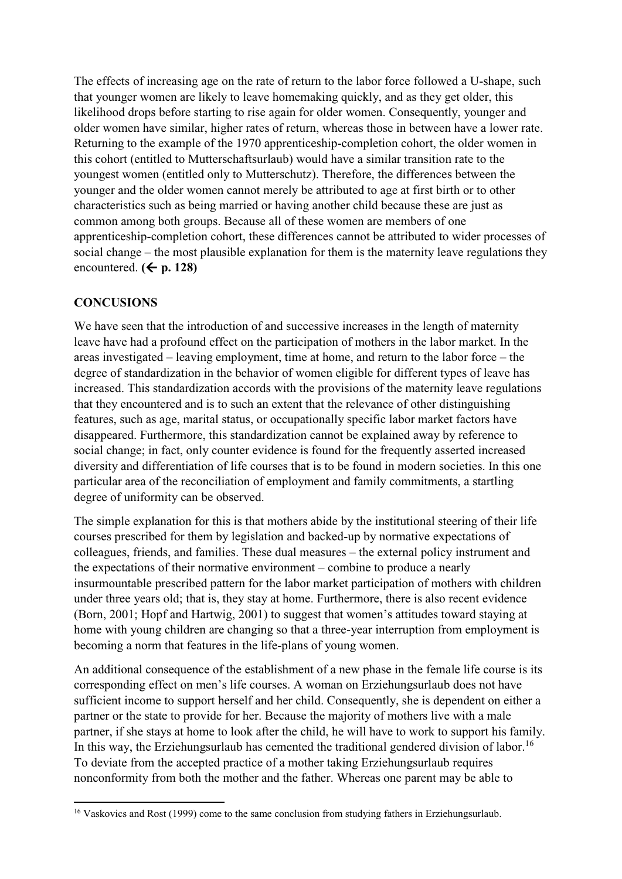The effects of increasing age on the rate of return to the labor force followed a U-shape, such that younger women are likely to leave homemaking quickly, and as they get older, this likelihood drops before starting to rise again for older women. Consequently, younger and older women have similar, higher rates of return, whereas those in between have a lower rate. Returning to the example of the 1970 apprenticeship-completion cohort, the older women in this cohort (entitled to Mutterschaftsurlaub) would have a similar transition rate to the youngest women (entitled only to Mutterschutz). Therefore, the differences between the younger and the older women cannot merely be attributed to age at first birth or to other characteristics such as being married or having another child because these are just as common among both groups. Because all of these women are members of one apprenticeship-completion cohort, these differences cannot be attributed to wider processes of social change – the most plausible explanation for them is the maternity leave regulations they encountered.  $(**r**$  p. 128)

### **CONCUSIONS**

**.** 

We have seen that the introduction of and successive increases in the length of maternity leave have had a profound effect on the participation of mothers in the labor market. In the areas investigated – leaving employment, time at home, and return to the labor force – the degree of standardization in the behavior of women eligible for different types of leave has increased. This standardization accords with the provisions of the maternity leave regulations that they encountered and is to such an extent that the relevance of other distinguishing features, such as age, marital status, or occupationally specific labor market factors have disappeared. Furthermore, this standardization cannot be explained away by reference to social change; in fact, only counter evidence is found for the frequently asserted increased diversity and differentiation of life courses that is to be found in modern societies. In this one particular area of the reconciliation of employment and family commitments, a startling degree of uniformity can be observed.

The simple explanation for this is that mothers abide by the institutional steering of their life courses prescribed for them by legislation and backed-up by normative expectations of colleagues, friends, and families. These dual measures – the external policy instrument and the expectations of their normative environment – combine to produce a nearly insurmountable prescribed pattern for the labor market participation of mothers with children under three years old; that is, they stay at home. Furthermore, there is also recent evidence (Born, 2001; Hopf and Hartwig, 2001) to suggest that women's attitudes toward staying at home with young children are changing so that a three-year interruption from employment is becoming a norm that features in the life-plans of young women.

An additional consequence of the establishment of a new phase in the female life course is its corresponding effect on men's life courses. A woman on Erziehungsurlaub does not have sufficient income to support herself and her child. Consequently, she is dependent on either a partner or the state to provide for her. Because the majority of mothers live with a male partner, if she stays at home to look after the child, he will have to work to support his family. In this way, the Erziehungsurlaub has cemented the traditional gendered division of labor.<sup>16</sup> To deviate from the accepted practice of a mother taking Erziehungsurlaub requires nonconformity from both the mother and the father. Whereas one parent may be able to

<sup>&</sup>lt;sup>16</sup> Vaskovics and Rost (1999) come to the same conclusion from studying fathers in Erziehungsurlaub.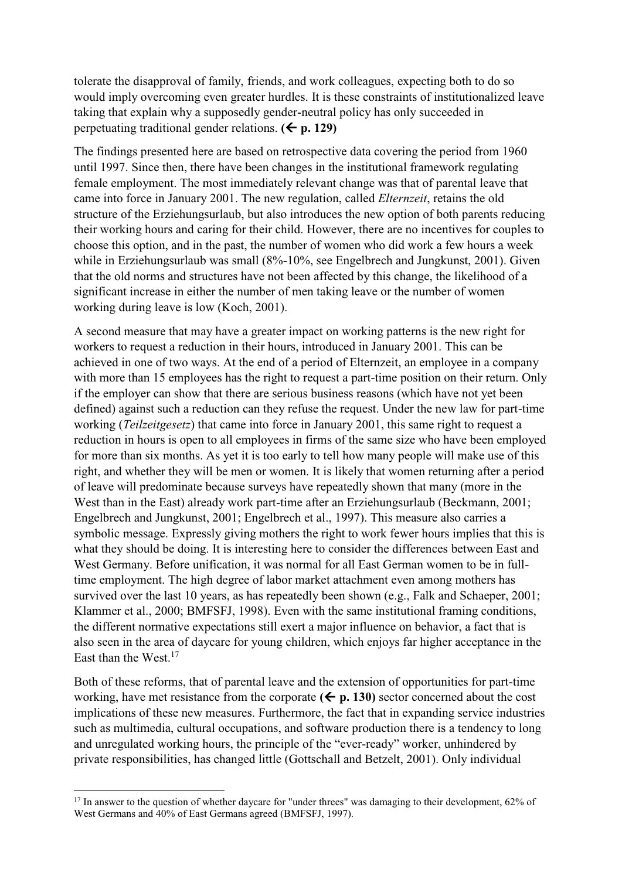tolerate the disapproval of family, friends, and work colleagues, expecting both to do so would imply overcoming even greater hurdles. It is these constraints of institutionalized leave taking that explain why a supposedly gender-neutral policy has only succeeded in perpetuating traditional gender relations.  $($  <math>\epsilon</math> p. 129)

The findings presented here are based on retrospective data covering the period from 1960 until 1997. Since then, there have been changes in the institutional framework regulating female employment. The most immediately relevant change was that of parental leave that came into force in January 2001. The new regulation, called *Elternzeit*, retains the old structure of the Erziehungsurlaub, but also introduces the new option of both parents reducing their working hours and caring for their child. However, there are no incentives for couples to choose this option, and in the past, the number of women who did work a few hours a week while in Erziehungsurlaub was small (8%-10%, see Engelbrech and Jungkunst, 2001). Given that the old norms and structures have not been affected by this change, the likelihood of a significant increase in either the number of men taking leave or the number of women working during leave is low (Koch, 2001).

A second measure that may have a greater impact on working patterns is the new right for workers to request a reduction in their hours, introduced in January 2001. This can be achieved in one of two ways. At the end of a period of Elternzeit, an employee in a company with more than 15 employees has the right to request a part-time position on their return. Only if the employer can show that there are serious business reasons (which have not yet been defined) against such a reduction can they refuse the request. Under the new law for part-time working (*Teilzeitgesetz*) that came into force in January 2001, this same right to request a reduction in hours is open to all employees in firms of the same size who have been employed for more than six months. As yet it is too early to tell how many people will make use of this right, and whether they will be men or women. It is likely that women returning after a period of leave will predominate because surveys have repeatedly shown that many (more in the West than in the East) already work part-time after an Erziehungsurlaub (Beckmann, 2001; Engelbrech and Jungkunst, 2001; Engelbrech et al., 1997). This measure also carries a symbolic message. Expressly giving mothers the right to work fewer hours implies that this is what they should be doing. It is interesting here to consider the differences between East and West Germany. Before unification, it was normal for all East German women to be in fulltime employment. The high degree of labor market attachment even among mothers has survived over the last 10 years, as has repeatedly been shown (e.g., Falk and Schaeper, 2001; Klammer et al., 2000; BMFSFJ, 1998). Even with the same institutional framing conditions, the different normative expectations still exert a major influence on behavior, a fact that is also seen in the area of daycare for young children, which enjoys far higher acceptance in the East than the West.<sup>17</sup>

Both of these reforms, that of parental leave and the extension of opportunities for part-time working, have met resistance from the corporate  $(\Leftarrow p. 130)$  sector concerned about the cost implications of these new measures. Furthermore, the fact that in expanding service industries such as multimedia, cultural occupations, and software production there is a tendency to long and unregulated working hours, the principle of the "ever-ready" worker, unhindered by private responsibilities, has changed little (Gottschall and Betzelt, 2001). Only individual

**.** 

<sup>&</sup>lt;sup>17</sup> In answer to the question of whether daycare for "under threes" was damaging to their development, 62% of West Germans and 40% of East Germans agreed (BMFSFJ, 1997).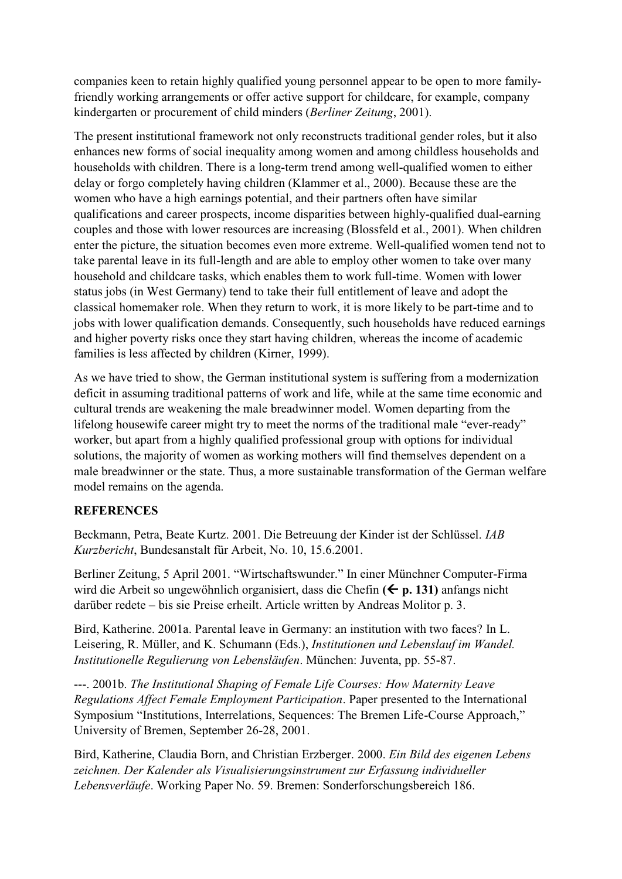companies keen to retain highly qualified young personnel appear to be open to more familyfriendly working arrangements or offer active support for childcare, for example, company kindergarten or procurement of child minders (*Berliner Zeitung*, 2001).

The present institutional framework not only reconstructs traditional gender roles, but it also enhances new forms of social inequality among women and among childless households and households with children. There is a long-term trend among well-qualified women to either delay or forgo completely having children (Klammer et al., 2000). Because these are the women who have a high earnings potential, and their partners often have similar qualifications and career prospects, income disparities between highly-qualified dual-earning couples and those with lower resources are increasing (Blossfeld et al., 2001). When children enter the picture, the situation becomes even more extreme. Well-qualified women tend not to take parental leave in its full-length and are able to employ other women to take over many household and childcare tasks, which enables them to work full-time. Women with lower status jobs (in West Germany) tend to take their full entitlement of leave and adopt the classical homemaker role. When they return to work, it is more likely to be part-time and to jobs with lower qualification demands. Consequently, such households have reduced earnings and higher poverty risks once they start having children, whereas the income of academic families is less affected by children (Kirner, 1999).

As we have tried to show, the German institutional system is suffering from a modernization deficit in assuming traditional patterns of work and life, while at the same time economic and cultural trends are weakening the male breadwinner model. Women departing from the lifelong housewife career might try to meet the norms of the traditional male "ever-ready" worker, but apart from a highly qualified professional group with options for individual solutions, the majority of women as working mothers will find themselves dependent on a male breadwinner or the state. Thus, a more sustainable transformation of the German welfare model remains on the agenda.

### **REFERENCES**

Beckmann, Petra, Beate Kurtz. 2001. Die Betreuung der Kinder ist der Schlüssel. *IAB Kurzbericht*, Bundesanstalt für Arbeit, No. 10, 15.6.2001.

Berliner Zeitung, 5 April 2001. "Wirtschaftswunder." In einer Münchner Computer-Firma wird die Arbeit so ungewöhnlich organisiert, dass die Chefin **(** $\leftarrow$  **p. 131)** anfangs nicht darüber redete – bis sie Preise erheilt. Article written by Andreas Molitor p. 3.

Bird, Katherine. 2001a. Parental leave in Germany: an institution with two faces? In L. Leisering, R. Müller, and K. Schumann (Eds.), *Institutionen und Lebenslauf im Wandel. Institutionelle Regulierung von Lebensläufen*. München: Juventa, pp. 55-87.

---. 2001b. *The Institutional Shaping of Female Life Courses: How Maternity Leave Regulations Affect Female Employment Participation*. Paper presented to the International Symposium "Institutions, Interrelations, Sequences: The Bremen Life-Course Approach," University of Bremen, September 26-28, 2001.

Bird, Katherine, Claudia Born, and Christian Erzberger. 2000. *Ein Bild des eigenen Lebens zeichnen. Der Kalender als Visualisierungsinstrument zur Erfassung individueller Lebensverläufe*. Working Paper No. 59. Bremen: Sonderforschungsbereich 186.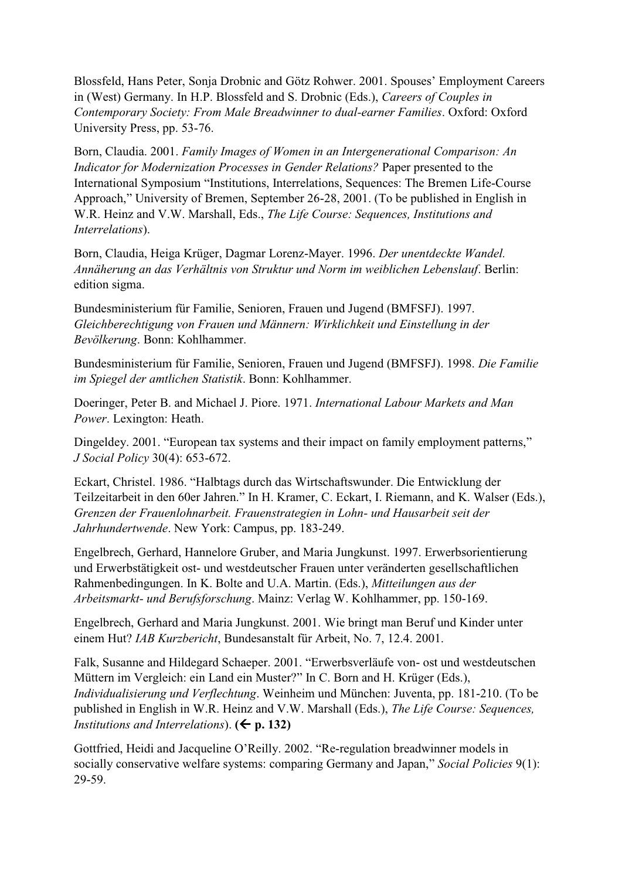Blossfeld, Hans Peter, Sonja Drobnic and Götz Rohwer. 2001. Spouses' Employment Careers in (West) Germany. In H.P. Blossfeld and S. Drobnic (Eds.), *Careers of Couples in Contemporary Society: From Male Breadwinner to dual-earner Families*. Oxford: Oxford University Press, pp. 53-76.

Born, Claudia. 2001. *Family Images of Women in an Intergenerational Comparison: An Indicator for Modernization Processes in Gender Relations?* Paper presented to the International Symposium "Institutions, Interrelations, Sequences: The Bremen Life-Course Approach," University of Bremen, September 26-28, 2001. (To be published in English in W.R. Heinz and V.W. Marshall, Eds., *The Life Course: Sequences, Institutions and Interrelations*).

Born, Claudia, Heiga Krüger, Dagmar Lorenz-Mayer. 1996. *Der unentdeckte Wandel. Annäherung an das Verhältnis von Struktur und Norm im weiblichen Lebenslauf*. Berlin: edition sigma.

Bundesministerium für Familie, Senioren, Frauen und Jugend (BMFSFJ). 1997. *Gleichberechtigung von Frauen und Männern: Wirklichkeit und Einstellung in der Bevölkerung*. Bonn: Kohlhammer.

Bundesministerium für Familie, Senioren, Frauen und Jugend (BMFSFJ). 1998. *Die Familie im Spiegel der amtlichen Statistik*. Bonn: Kohlhammer.

Doeringer, Peter B. and Michael J. Piore. 1971. *International Labour Markets and Man Power*. Lexington: Heath.

Dingeldey. 2001. "European tax systems and their impact on family employment patterns," *J Social Policy* 30(4): 653-672.

Eckart, Christel. 1986. "Halbtags durch das Wirtschaftswunder. Die Entwicklung der Teilzeitarbeit in den 60er Jahren." In H. Kramer, C. Eckart, I. Riemann, and K. Walser (Eds.), *Grenzen der Frauenlohnarbeit. Frauenstrategien in Lohn- und Hausarbeit seit der Jahrhundertwende*. New York: Campus, pp. 183-249.

Engelbrech, Gerhard, Hannelore Gruber, and Maria Jungkunst. 1997. Erwerbsorientierung und Erwerbstätigkeit ost- und westdeutscher Frauen unter veränderten gesellschaftlichen Rahmenbedingungen. In K. Bolte and U.A. Martin. (Eds.), *Mitteilungen aus der Arbeitsmarkt- und Berufsforschung*. Mainz: Verlag W. Kohlhammer, pp. 150-169.

Engelbrech, Gerhard and Maria Jungkunst. 2001. Wie bringt man Beruf und Kinder unter einem Hut? *IAB Kurzbericht*, Bundesanstalt für Arbeit, No. 7, 12.4. 2001.

Falk, Susanne and Hildegard Schaeper. 2001. "Erwerbsverläufe von- ost und westdeutschen Müttern im Vergleich: ein Land ein Muster?" In C. Born and H. Krüger (Eds.), *Individualisierung und Verflechtung*. Weinheim und München: Juventa, pp. 181-210. (To be published in English in W.R. Heinz and V.W. Marshall (Eds.), *The Life Course: Sequences, Institutions and Interrelations*).  $(\Leftarrow p. 132)$ 

Gottfried, Heidi and Jacqueline O'Reilly. 2002. "Re-regulation breadwinner models in socially conservative welfare systems: comparing Germany and Japan," *Social Policies* 9(1): 29-59.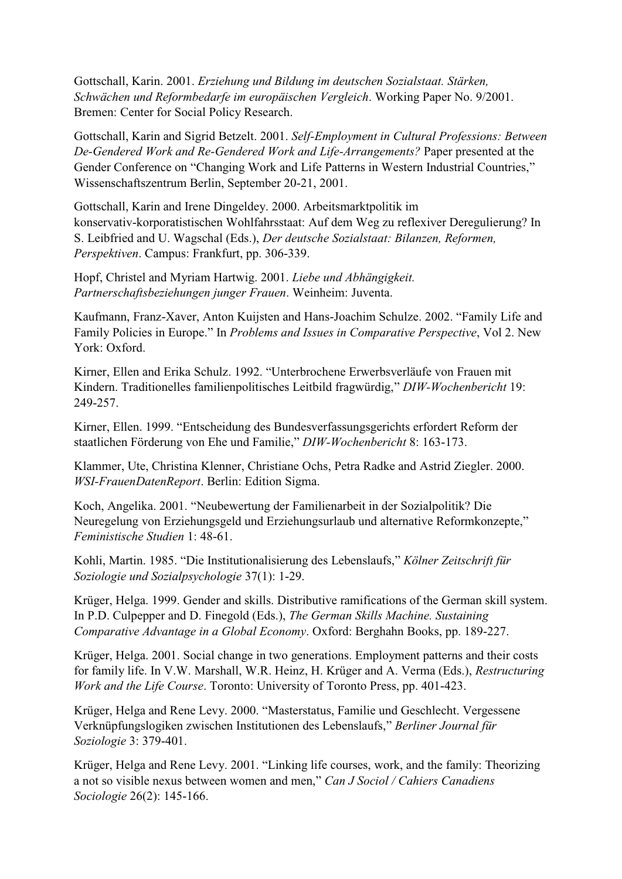Gottschall, Karin. 2001. *Erziehung und Bildung im deutschen Sozialstaat. Stärken, Schwächen und Reformbedarfe im europäischen Vergleich*. Working Paper No. 9/2001. Bremen: Center for Social Policy Research.

Gottschall, Karin and Sigrid Betzelt. 2001. *Self-Employment in Cultural Professions: Between De-Gendered Work and Re-Gendered Work and Life-Arrangements?* Paper presented at the Gender Conference on "Changing Work and Life Patterns in Western Industrial Countries," Wissenschaftszentrum Berlin, September 20-21, 2001.

Gottschall, Karin and Irene Dingeldey. 2000. Arbeitsmarktpolitik im konservativ-korporatistischen Wohlfahrsstaat: Auf dem Weg zu reflexiver Deregulierung? In S. Leibfried and U. Wagschal (Eds.), *Der deutsche Sozialstaat: Bilanzen, Reformen, Perspektiven*. Campus: Frankfurt, pp. 306-339.

Hopf, Christel and Myriam Hartwig. 2001. *Liebe und Abhängigkeit. Partnerschaftsbeziehungen junger Frauen*. Weinheim: Juventa.

Kaufmann, Franz-Xaver, Anton Kuijsten and Hans-Joachim Schulze. 2002. "Family Life and Family Policies in Europe." In *Problems and Issues in Comparative Perspective*, Vol 2. New York: Oxford.

Kirner, Ellen and Erika Schulz. 1992. "Unterbrochene Erwerbsverläufe von Frauen mit Kindern. Traditionelles familienpolitisches Leitbild fragwürdig," *DIW-Wochenbericht* 19: 249-257.

Kirner, Ellen. 1999. "Entscheidung des Bundesverfassungsgerichts erfordert Reform der staatlichen Förderung von Ehe und Familie," *DIW-Wochenbericht* 8: 163-173.

Klammer, Ute, Christina Klenner, Christiane Ochs, Petra Radke and Astrid Ziegler. 2000. *WSI-FrauenDatenReport*. Berlin: Edition Sigma.

Koch, Angelika. 2001. "Neubewertung der Familienarbeit in der Sozialpolitik? Die Neuregelung von Erziehungsgeld und Erziehungsurlaub und alternative Reformkonzepte," *Feministische Studien* 1: 48-61.

Kohli, Martin. 1985. "Die Institutionalisierung des Lebenslaufs," *Kölner Zeitschrift für Soziologie und Sozialpsychologie* 37(1): 1-29.

Krüger, Helga. 1999. Gender and skills. Distributive ramifications of the German skill system. In P.D. Culpepper and D. Finegold (Eds.), *The German Skills Machine. Sustaining Comparative Advantage in a Global Economy*. Oxford: Berghahn Books, pp. 189-227.

Krüger, Helga. 2001. Social change in two generations. Employment patterns and their costs for family life. In V.W. Marshall, W.R. Heinz, H. Krüger and A. Verma (Eds.), *Restructuring Work and the Life Course*. Toronto: University of Toronto Press, pp. 401-423.

Krüger, Helga and Rene Levy. 2000. "Masterstatus, Familie und Geschlecht. Vergessene Verknüpfungslogiken zwischen Institutionen des Lebenslaufs," *Berliner Journal für Soziologie* 3: 379-401.

Krüger, Helga and Rene Levy. 2001. "Linking life courses, work, and the family: Theorizing a not so visible nexus between women and men," *Can J Sociol / Cahiers Canadiens Sociologie* 26(2): 145-166.